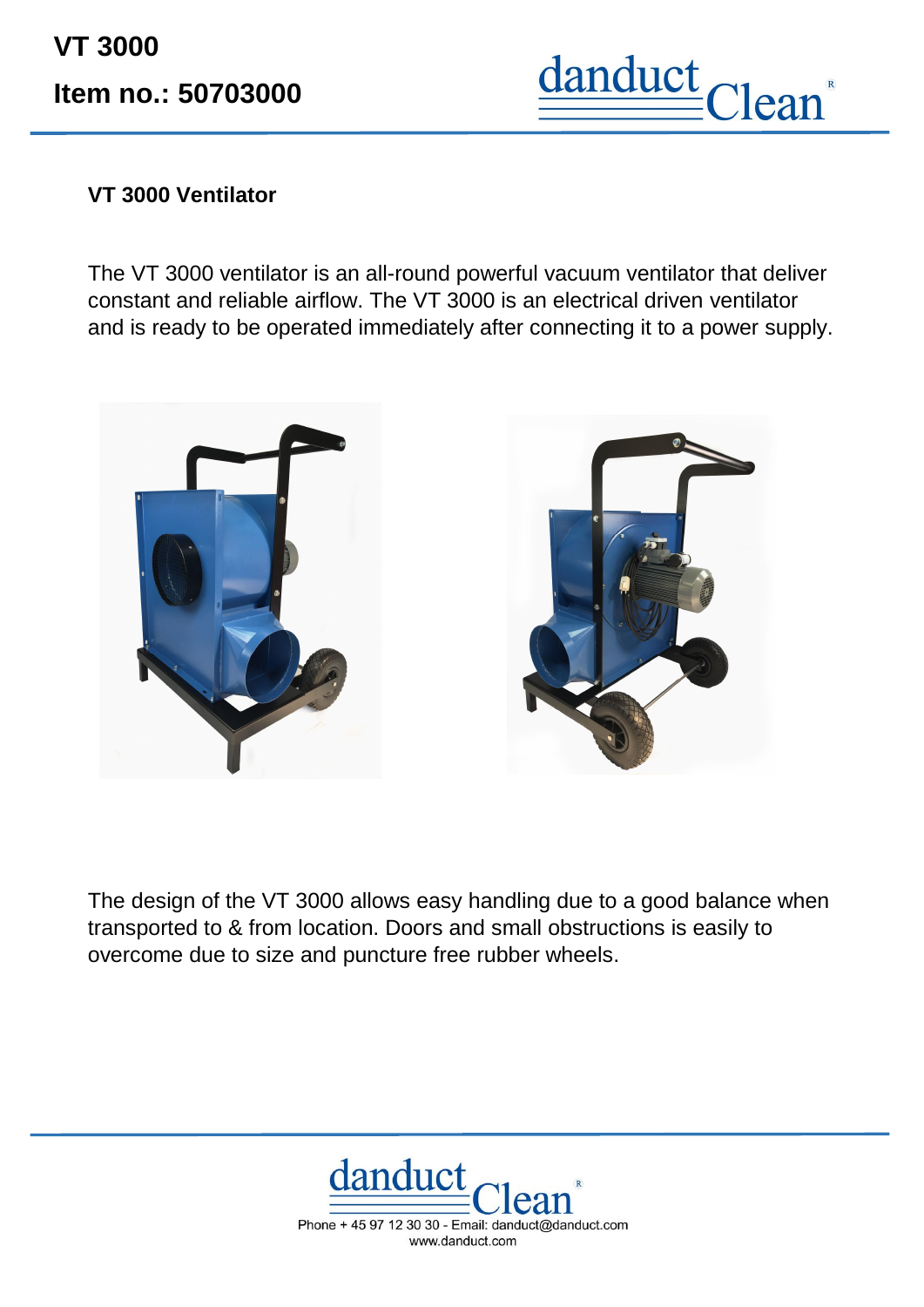**VT 3000 Item no.: 50703000**



## **VT 3000 Ventilator**

The VT 3000 ventilator is an all-round powerful vacuum ventilator that deliver constant and reliable airflow. The VT 3000 is an electrical driven ventilator and is ready to be operated immediately after connecting it to a power supply.



The design of the VT 3000 allows easy handling due to a good balance when transported to & from location. Doors and small obstructions is easily to overcome due to size and puncture free rubber wheels.



Phone + 45 97 12 30 30 - Email: danduct@danduct.com www.danduct.com